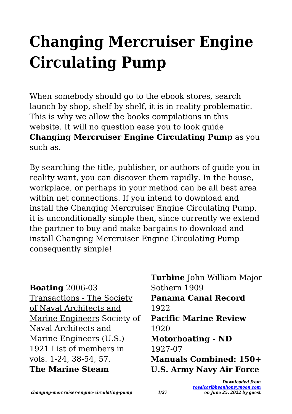## **Changing Mercruiser Engine Circulating Pump**

When somebody should go to the ebook stores, search launch by shop, shelf by shelf, it is in reality problematic. This is why we allow the books compilations in this website. It will no question ease you to look guide **Changing Mercruiser Engine Circulating Pump** as you such as.

By searching the title, publisher, or authors of guide you in reality want, you can discover them rapidly. In the house, workplace, or perhaps in your method can be all best area within net connections. If you intend to download and install the Changing Mercruiser Engine Circulating Pump, it is unconditionally simple then, since currently we extend the partner to buy and make bargains to download and install Changing Mercruiser Engine Circulating Pump consequently simple!

**Boating** 2006-03 Transactions - The Society of Naval Architects and Marine Engineers Society of Naval Architects and Marine Engineers (U.S.) 1921 List of members in vols. 1-24, 38-54, 57. **The Marine Steam**

**Turbine** John William Major Sothern 1909 **Panama Canal Record** 1922 **Pacific Marine Review** 1920 **Motorboating - ND** 1927-07 **Manuals Combined: 150+ U.S. Army Navy Air Force**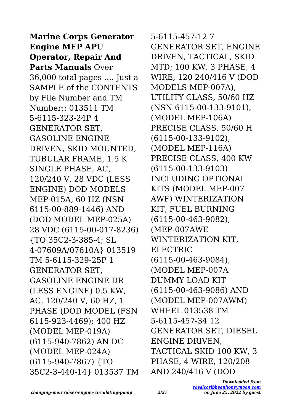**Marine Corps Generator Engine MEP APU Operator, Repair And Parts Manuals** Over 36,000 total pages .... Just a SAMPLE of the CONTENTS by File Number and TM Number:: 013511 TM 5-6115-323-24P 4 GENERATOR SET, GASOLINE ENGINE DRIVEN, SKID MOUNTED, TUBULAR FRAME, 1.5 K SINGLE PHASE, AC, 120/240 V, 28 VDC (LESS ENGINE) DOD MODELS MEP-015A, 60 HZ (NSN 6115-00-889-1446) AND (DOD MODEL MEP-025A) 28 VDC (6115-00-017-8236) {TO 35C2-3-385-4; SL 4-07609A/07610A} 013519 TM 5-6115-329-25P 1 GENERATOR SET, GASOLINE ENGINE DR (LESS ENGINE) 0.5 KW, AC, 120/240 V, 60 HZ, 1 PHASE (DOD MODEL (FSN 6115-923-4469); 400 HZ (MODEL MEP-019A) (6115-940-7862) AN DC (MODEL MEP-024A) (6115-940-7867) {TO 35C2-3-440-14} 013537 TM 5-6115-457-12 7 GENERATOR SET, ENGINE DRIVEN, TACTICAL, SKID MTD; 100 KW, 3 PHASE, 4 WIRE, 120 240/416 V (DOD MODELS MEP-007A), UTILITY CLASS, 50/60 HZ (NSN 6115-00-133-9101), (MODEL MEP-106A) PRECISE CLASS, 50/60 H (6115-00-133-9102), (MODEL MEP-116A) PRECISE CLASS, 400 KW (6115-00-133-9103) INCLUDING OPTIONAL KITS (MODEL MEP-007 AWF) WINTERIZATION KIT, FUEL BURNING (6115-00-463-9082), (MEP-007AWE WINTERIZATION KIT, ELECTRIC (6115-00-463-9084), (MODEL MEP-007A DUMMY LOAD KIT (6115-00-463-9086) AND (MODEL MEP-007AWM) WHEEL 013538 TM 5-6115-457-34 12 GENERATOR SET, DIESEL ENGINE DRIVEN, TACTICAL SKID 100 KW, 3 PHASE, 4 WIRE, 120/208 AND 240/416 V (DOD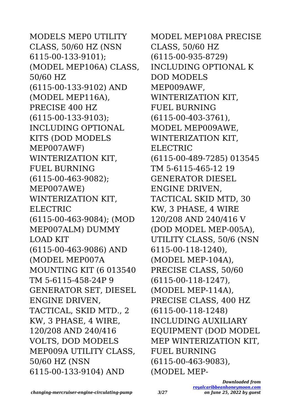MODELS MEP0 UTILITY CLASS, 50/60 HZ (NSN 6115-00-133-9101); (MODEL MEP106A) CLASS, 50/60 HZ (6115-00-133-9102) AND (MODEL MEP116A), PRECISE 400 HZ (6115-00-133-9103); INCLUDING OPTIONAL KITS (DOD MODELS MEP007AWF) WINTERIZATION KIT, FUEL BURNING (6115-00-463-9082); MEP007AWE) WINTERIZATION KIT, ELECTRIC (6115-00-463-9084); (MOD MEP007ALM) DUMMY LOAD KIT (6115-00-463-9086) AND (MODEL MEP007A MOUNTING KIT (6 013540 TM 5-6115-458-24P 9 GENERATOR SET, DIESEL ENGINE DRIVEN, TACTICAL, SKID MTD., 2 KW, 3 PHASE, 4 WIRE, 120/208 AND 240/416 VOLTS, DOD MODELS MEP009A UTILITY CLASS, 50/60 HZ (NSN 6115-00-133-9104) AND

MODEL MEP108A PRECISE CLASS, 50/60 HZ (6115-00-935-8729) INCLUDING OPTIONAL K DOD MODELS MEP009AWF, WINTERIZATION KIT, FUEL BURNING (6115-00-403-3761), MODEL MEP009AWE, WINTERIZATION KIT, ELECTRIC (6115-00-489-7285) 013545 TM 5-6115-465-12 19 GENERATOR DIESEL ENGINE DRIVEN, TACTICAL SKID MTD, 30 KW, 3 PHASE, 4 WIRE 120/208 AND 240/416 V (DOD MODEL MEP-005A), UTILITY CLASS, 50/6 (NSN 6115-00-118-1240), (MODEL MEP-104A), PRECISE CLASS, 50/60 (6115-00-118-1247), (MODEL MEP-114A), PRECISE CLASS, 400 HZ (6115-00-118-1248) INCLUDING AUXILIARY EQUIPMENT (DOD MODEL MEP WINTERIZATION KIT, FUEL BURNING (6115-00-463-9083), (MODEL MEP-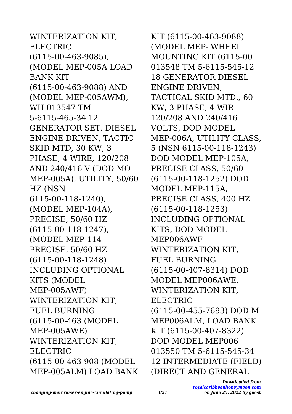WINTERIZATION KIT, ELECTRIC (6115-00-463-9085), (MODEL MEP-005A LOAD BANK KIT (6115-00-463-9088) AND (MODEL MEP-005AWM), WH 013547 TM 5-6115-465-34 12 GENERATOR SET, DIESEL ENGINE DRIVEN, TACTIC SKID MTD, 30 KW, 3 PHASE, 4 WIRE, 120/208 AND 240/416 V (DOD MO MEP-005A), UTILITY, 50/60 HZ (NSN 6115-00-118-1240), (MODEL MEP-104A), PRECISE, 50/60 HZ (6115-00-118-1247), (MODEL MEP-114 PRECISE, 50/60 HZ (6115-00-118-1248) INCLUDING OPTIONAL KITS (MODEL MEP-005AWF) WINTERIZATION KIT, FUEL BURNING (6115-00-463 (MODEL MEP-005AWE) WINTERIZATION KIT, ELECTRIC (6115-00-463-908 (MODEL MEP-005ALM) LOAD BANK KIT (6115-00-463-9088) (MODEL MEP- WHEEL MOUNTING KIT (6115-00 013548 TM 5-6115-545-12 18 GENERATOR DIESEL ENGINE DRIVEN, TACTICAL SKID MTD., 60 KW, 3 PHASE, 4 WIR 120/208 AND 240/416 VOLTS, DOD MODEL MEP-006A, UTILITY CLASS, 5 (NSN 6115-00-118-1243) DOD MODEL MEP-105A, PRECISE CLASS, 50/60 (6115-00-118-1252) DOD MODEL MEP-115A, PRECISE CLASS, 400 HZ (6115-00-118-1253) INCLUDING OPTIONAL KITS, DOD MODEL MEP006AWF WINTERIZATION KIT, FUEL BURNING (6115-00-407-8314) DOD MODEL MEP006AWE, WINTERIZATION KIT, ELECTRIC (6115-00-455-7693) DOD M MEP006ALM, LOAD BANK KIT (6115-00-407-8322) DOD MODEL MEP006 013550 TM 5-6115-545-34 12 INTERMEDIATE (FIELD) (DIRECT AND GENERAL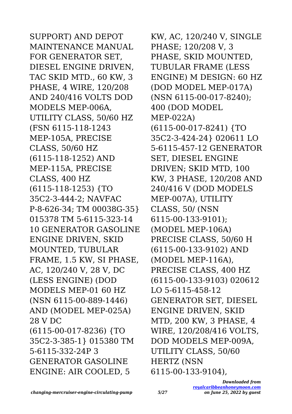SUPPORT) AND DEPOT MAINTENANCE MANUAL FOR GENERATOR SET, DIESEL ENGINE DRIVEN, TAC SKID MTD., 60 KW, 3 PHASE, 4 WIRE, 120/208 AND 240/416 VOLTS DOD MODELS MEP-006A, UTILITY CLASS, 50/60 HZ (FSN 6115-118-1243 MEP-105A, PRECISE CLASS, 50/60 HZ (6115-118-1252) AND MEP-115A, PRECISE CLASS, 400 HZ (6115-118-1253) {TO 35C2-3-444-2; NAVFAC P-8-626-34; TM 00038G-35} 015378 TM 5-6115-323-14 10 GENERATOR GASOLINE ENGINE DRIVEN, SKID MOUNTED, TUBULAR FRAME, 1.5 KW, SI PHASE, AC, 120/240 V, 28 V, DC (LESS ENGINE) (DOD MODELS MEP-01 60 HZ (NSN 6115-00-889-1446) AND (MODEL MEP-025A) 28 V DC (6115-00-017-8236) {TO 35C2-3-385-1} 015380 TM 5-6115-332-24P 3 GENERATOR GASOLINE ENGINE: AIR COOLED, 5

KW, AC, 120/240 V, SINGLE PHASE; 120/208 V, 3 PHASE, SKID MOUNTED, TUBULAR FRAME (LESS ENGINE) M DESIGN: 60 HZ (DOD MODEL MEP-017A) (NSN 6115-00-017-8240); 400 (DOD MODEL MEP-022A) (6115-00-017-8241) {TO 35C2-3-424-24} 020611 LO 5-6115-457-12 GENERATOR SET, DIESEL ENGINE DRIVEN; SKID MTD, 100 KW, 3 PHASE, 120/208 AND 240/416 V (DOD MODELS MEP-007A), UTILITY CLASS, 50/ (NSN 6115-00-133-9101); (MODEL MEP-106A) PRECISE CLASS, 50/60 H (6115-00-133-9102) AND (MODEL MEP-116A), PRECISE CLASS, 400 HZ (6115-00-133-9103) 020612 LO 5-6115-458-12 GENERATOR SET, DIESEL ENGINE DRIVEN, SKID MTD, 200 KW, 3 PHASE, 4 WIRE, 120/208/416 VOLTS, DOD MODELS MEP-009A, UTILITY CLASS, 50/60 HERTZ (NSN 6115-00-133-9104),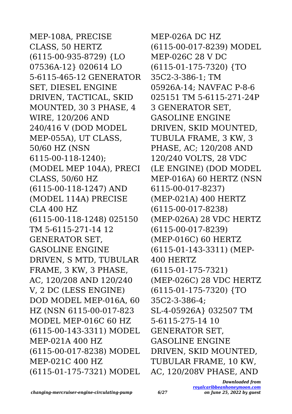MEP-108A, PRECISE CLASS, 50 HERTZ (6115-00-935-8729) {LO 07536A-12} 020614 LO 5-6115-465-12 GENERATOR SET, DIESEL ENGINE DRIVEN, TACTICAL, SKID MOUNTED, 30 3 PHASE, 4 WIRE, 120/206 AND 240/416 V (DOD MODEL MEP-055A), UT CLASS, 50/60 HZ (NSN 6115-00-118-1240); (MODEL MEP 104A), PRECI CLASS, 50/60 HZ (6115-00-118-1247) AND (MODEL 114A) PRECISE CLA 400 HZ (6115-00-118-1248) 025150 TM 5-6115-271-14 12 GENERATOR SET, GASOLINE ENGINE DRIVEN, S MTD, TUBULAR FRAME, 3 KW, 3 PHASE, AC, 120/208 AND 120/240 V, 2 DC (LESS ENGINE) DOD MODEL MEP-016A, 60 HZ (NSN 6115-00-017-823 MODEL MEP-016C 60 HZ (6115-00-143-3311) MODEL MEP-021A 400 HZ (6115-00-017-8238) MODEL MEP-021C 400 HZ (6115-01-175-7321) MODEL

MEP-026A DC HZ (6115-00-017-8239) MODEL MEP-026C 28 V DC (6115-01-175-7320) {TO 35C2-3-386-1; TM 05926A-14; NAVFAC P-8-6 025151 TM 5-6115-271-24P 3 GENERATOR SET, GASOLINE ENGINE DRIVEN, SKID MOUNTED, TUBULA FRAME, 3 KW, 3 PHASE, AC; 120/208 AND 120/240 VOLTS, 28 VDC (LE ENGINE) (DOD MODEL MEP-016A) 60 HERTZ (NSN 6115-00-017-8237) (MEP-021A) 400 HERTZ (6115-00-017-8238) (MEP-026A) 28 VDC HERTZ (6115-00-017-8239) (MEP-016C) 60 HERTZ (6115-01-143-3311) (MEP-400 HERTZ (6115-01-175-7321) (MEP-026C) 28 VDC HERTZ (6115-01-175-7320) {TO 35C2-3-386-4; SL-4-05926A} 032507 TM 5-6115-275-14 10 GENERATOR SET, GASOLINE ENGINE DRIVEN, SKID MOUNTED, TUBULAR FRAME, 10 KW, AC, 120/208V PHASE, AND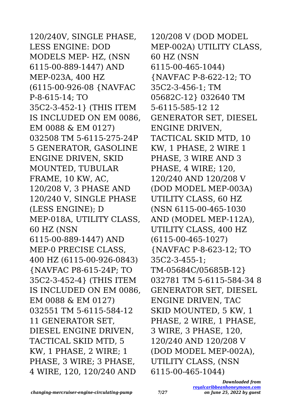120/240V, SINGLE PHASE, LESS ENGINE: DOD MODELS MEP- HZ, (NSN 6115-00-889-1447) AND MEP-023A, 400 HZ (6115-00-926-08 {NAVFAC P-8-615-14; TO 35C2-3-452-1} (THIS ITEM IS INCLUDED ON EM 0086, EM 0088 & EM 0127) 032508 TM 5-6115-275-24P 5 GENERATOR, GASOLINE ENGINE DRIVEN, SKID MOUNTED, TUBULAR FRAME, 10 KW, AC, 120/208 V, 3 PHASE AND 120/240 V, SINGLE PHASE (LESS ENGINE); D MEP-018A, UTILITY CLASS, 60 HZ (NSN 6115-00-889-1447) AND MEP-0 PRECISE CLASS, 400 HZ (6115-00-926-0843) {NAVFAC P8-615-24P; TO 35C2-3-452-4} (THIS ITEM IS INCLUDED ON EM 0086, EM 0088 & EM 0127) 032551 TM 5-6115-584-12 11 GENERATOR SET, DIESEL ENGINE DRIVEN, TACTICAL SKID MTD, 5 KW, 1 PHASE, 2 WIRE; 1 PHASE, 3 WIRE; 3 PHASE, 4 WIRE, 120, 120/240 AND

120/208 V (DOD MODEL MEP-002A) UTILITY CLASS, 60 HZ (NSN 6115-00-465-1044) {NAVFAC P-8-622-12; TO 35C2-3-456-1; TM 05682C-12} 032640 TM 5-6115-585-12 12 GENERATOR SET, DIESEL ENGINE DRIVEN, TACTICAL SKID MTD, 10 KW, 1 PHASE, 2 WIRE 1 PHASE, 3 WIRE AND 3 PHASE, 4 WIRE; 120, 120/240 AND 120/208 V (DOD MODEL MEP-003A) UTILITY CLASS, 60 HZ (NSN 6115-00-465-1030 AND (MODEL MEP-112A), UTILITY CLASS, 400 HZ (6115-00-465-1027) {NAVFAC P-8-623-12; TO 35C2-3-455-1; TM-05684C/05685B-12} 032781 TM 5-6115-584-34 8 GENERATOR SET, DIESEL ENGINE DRIVEN, TAC SKID MOUNTED, 5 KW, 1 PHASE, 2 WIRE, 1 PHASE, 3 WIRE, 3 PHASE, 120, 120/240 AND 120/208 V (DOD MODEL MEP-002A), UTILITY CLASS, (NSN 6115-00-465-1044)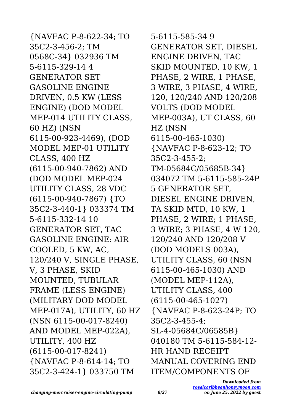{NAVFAC P-8-622-34; TO 35C2-3-456-2; TM 0568C-34} 032936 TM 5-6115-329-14 4 GENERATOR SET GASOLINE ENGINE DRIVEN, 0.5 KW (LESS ENGINE) (DOD MODEL MEP-014 UTILITY CLASS, 60 HZ) (NSN 6115-00-923-4469), (DOD MODEL MEP-01 UTILITY CLASS, 400 HZ (6115-00-940-7862) AND (DOD MODEL MEP-024 UTILITY CLASS, 28 VDC (6115-00-940-7867) {TO 35C2-3-440-1} 033374 TM 5-6115-332-14 10 GENERATOR SET, TAC GASOLINE ENGINE: AIR COOLED, 5 KW, AC, 120/240 V, SINGLE PHASE, V, 3 PHASE, SKID MOUNTED, TUBULAR FRAME (LESS ENGINE) (MILITARY DOD MODEL MEP-017A), UTILITY, 60 HZ (NSN 6115-00-017-8240) AND MODEL MEP-022A), UTILITY, 400 HZ (6115-00-017-8241) {NAVFAC P-8-614-14; TO 35C2-3-424-1} 033750 TM

5-6115-585-34 9 GENERATOR SET, DIESEL ENGINE DRIVEN, TAC SKID MOUNTED, 10 KW, 1 PHASE, 2 WIRE, 1 PHASE, 3 WIRE, 3 PHASE, 4 WIRE, 120, 120/240 AND 120/208 VOLTS (DOD MODEL MEP-003A), UT CLASS, 60 HZ (NSN 6115-00-465-1030) {NAVFAC P-8-623-12; TO 35C2-3-455-2; TM-05684C/05685B-34} 034072 TM 5-6115-585-24P 5 GENERATOR SET, DIESEL ENGINE DRIVEN, TA SKID MTD, 10 KW, 1 PHASE, 2 WIRE; 1 PHASE, 3 WIRE; 3 PHASE, 4 W 120, 120/240 AND 120/208 V (DOD MODELS 003A), UTILITY CLASS, 60 (NSN 6115-00-465-1030) AND (MODEL MEP-112A), UTILITY CLASS, 400 (6115-00-465-1027) {NAVFAC P-8-623-24P; TO 35C2-3-455-4; SL-4-05684C/06585B} 040180 TM 5-6115-584-12- HR HAND RECEIPT MANUAL COVERING END ITEM/COMPONENTS OF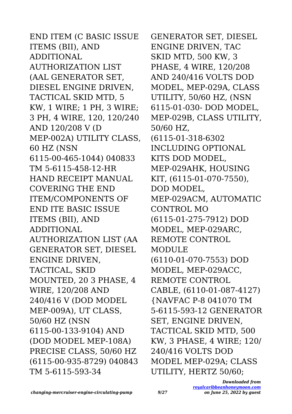END ITEM (C BASIC ISSUE ITEMS (BII), AND ADDITIONAL AUTHORIZATION LIST (AAL GENERATOR SET, DIESEL ENGINE DRIVEN, TACTICAL SKID MTD, 5 KW, 1 WIRE; 1 PH, 3 WIRE; 3 PH, 4 WIRE, 120, 120/240 AND 120/208 V (D MEP-002A) UTILITY CLASS, 60 HZ (NSN 6115-00-465-1044) 040833 TM 5-6115-458-12-HR HAND RECEIPT MANUAL COVERING THE END ITEM/COMPONENTS OF END ITE BASIC ISSUE ITEMS (BII), AND ADDITIONAL AUTHORIZATION LIST (AA GENERATOR SET, DIESEL ENGINE DRIVEN, TACTICAL, SKID MOUNTED, 20 3 PHASE, 4 WIRE, 120/208 AND 240/416 V (DOD MODEL MEP-009A), UT CLASS, 50/60 HZ (NSN 6115-00-133-9104) AND (DOD MODEL MEP-108A) PRECISE CLASS, 50/60 HZ (6115-00-935-8729) 040843 TM 5-6115-593-34

GENERATOR SET, DIESEL ENGINE DRIVEN, TAC SKID MTD, 500 KW, 3 PHASE, 4 WIRE, 120/208 AND 240/416 VOLTS DOD MODEL, MEP-029A, CLASS UTILITY, 50/60 HZ, (NSN 6115-01-030- DOD MODEL, MEP-029B, CLASS UTILITY, 50/60 HZ, (6115-01-318-6302 INCLUDING OPTIONAL KITS DOD MODEL, MEP-029AHK, HOUSING KIT, (6115-01-070-7550). DOD MODEL, MEP-029ACM, AUTOMATIC CONTROL MO (6115-01-275-7912) DOD MODEL, MEP-029ARC, REMOTE CONTROL MODULE (6110-01-070-7553) DOD MODEL, MEP-029ACC, REMOTE CONTROL CABLE, (6110-01-087-4127) {NAVFAC P-8 041070 TM 5-6115-593-12 GENERATOR SET, ENGINE DRIVEN, TACTICAL SKID MTD, 500 KW, 3 PHASE, 4 WIRE; 120/ 240/416 VOLTS DOD MODEL MEP-029A; CLASS UTILITY, HERTZ 50/60;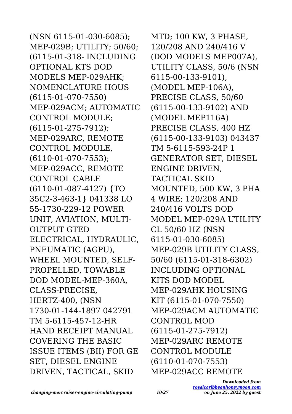(NSN 6115-01-030-6085); MEP-029B; UTILITY; 50/60; (6115-01-318- INCLUDING OPTIONAL KTS DOD MODELS MEP-029AHK; NOMENCLATURE HOUS (6115-01-070-7550) MEP-029ACM; AUTOMATIC CONTROL MODULE; (6115-01-275-7912); MEP-029ARC, REMOTE CONTROL MODULE, (6110-01-070-7553); MEP-029ACC, REMOTE CONTROL CABLE (6110-01-087-4127) {TO 35C2-3-463-1} 041338 LO 55-1730-229-12 POWER UNIT, AVIATION, MULTI-OUTPUT GTED ELECTRICAL, HYDRAULIC, PNEUMATIC (AGPU), WHEEL MOUNTED, SELF-PROPELLED, TOWABLE DOD MODEL-MEP-360A, CLASS-PRECISE, HERTZ-400, (NSN 1730-01-144-1897 042791 TM 5-6115-457-12-HR HAND RECEIPT MANUAL COVERING THE BASIC ISSUE ITEMS (BII) FOR GE SET, DIESEL ENGINE DRIVEN, TACTICAL, SKID

MTD; 100 KW, 3 PHASE, 120/208 AND 240/416 V (DOD MODELS MEP007A), UTILITY CLASS, 50/6 (NSN 6115-00-133-9101), (MODEL MEP-106A), PRECISE CLASS, 50/60 (6115-00-133-9102) AND (MODEL MEP116A) PRECISE CLASS, 400 HZ (6115-00-133-9103) 043437 TM 5-6115-593-24P 1 GENERATOR SET, DIESEL ENGINE DRIVEN, TACTICAL SKID MOUNTED, 500 KW, 3 PHA 4 WIRE; 120/208 AND 240/416 VOLTS DOD MODEL MEP-029A UTILITY CL 50/60 HZ (NSN 6115-01-030-6085) MEP-029B UTILITY CLASS, 50/60 (6115-01-318-6302) INCLUDING OPTIONAL KITS DOD MODEL MEP-029AHK HOUSING KIT (6115-01-070-7550) MEP-029ACM AUTOMATIC CONTROL MOD (6115-01-275-7912) MEP-029ARC REMOTE CONTROL MODULE (6110-01-070-7553) MEP-029ACC REMOTE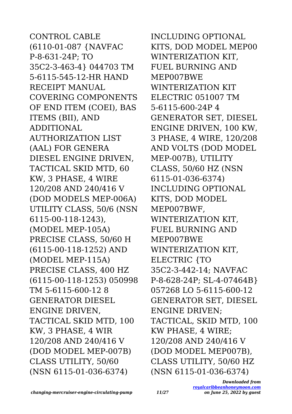CONTROL CABLE (6110-01-087 {NAVFAC P-8-631-24P; TO 35C2-3-463-4} 044703 TM 5-6115-545-12-HR HAND RECEIPT MANUAL COVERING COMPONENTS OF END ITEM (COEI), BAS ITEMS (BII), AND ADDITIONAL AUTHORIZATION LIST (AAL) FOR GENERA DIESEL ENGINE DRIVEN, TACTICAL SKID MTD, 60 KW, 3 PHASE, 4 WIRE 120/208 AND 240/416 V (DOD MODELS MEP-006A) UTILITY CLASS, 50/6 (NSN 6115-00-118-1243), (MODEL MEP-105A) PRECISE CLASS, 50/60 H (6115-00-118-1252) AND (MODEL MEP-115A) PRECISE CLASS, 400 HZ (6115-00-118-1253) 050998 TM 5-6115-600-12 8 GENERATOR DIESEL ENGINE DRIVEN, TACTICAL SKID MTD, 100 KW, 3 PHASE, 4 WIR 120/208 AND 240/416 V (DOD MODEL MEP-007B) CLASS UTILITY, 50/60 (NSN 6115-01-036-6374)

INCLUDING OPTIONAL KITS, DOD MODEL MEP00 WINTERIZATION KIT, FUEL BURNING AND MEP007BWE WINTERIZATION KIT ELECTRIC 051007 TM 5-6115-600-24P 4 GENERATOR SET, DIESEL ENGINE DRIVEN, 100 KW, 3 PHASE, 4 WIRE, 120/208 AND VOLTS (DOD MODEL MEP-007B), UTILITY CLASS, 50/60 HZ (NSN 6115-01-036-6374) INCLUDING OPTIONAL KITS, DOD MODEL MEP007BWF, WINTERIZATION KIT, FUEL BURNING AND MEP007BWE WINTERIZATION KIT, ELECTRIC {TO 35C2-3-442-14; NAVFAC P-8-628-24P; SL-4-07464B} 057268 LO 5-6115-600-12 GENERATOR SET, DIESEL ENGINE DRIVEN; TACTICAL, SKID MTD, 100 KW PHASE, 4 WIRE; 120/208 AND 240/416 V (DOD MODEL MEP007B), CLASS UTILITY, 50/60 HZ (NSN 6115-01-036-6374)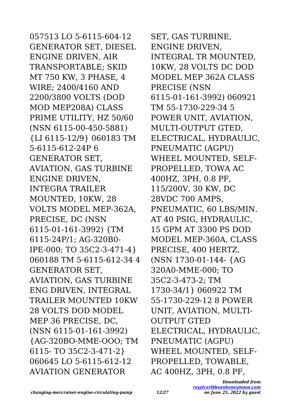057513 LO 5-6115-604-12 GENERATOR SET, DIESEL ENGINE DRIVEN, AIR TRANSPORTABLE; SKID MT 750 KW, 3 PHASE, 4 WIRE; 2400/4160 AND 2200/3800 VOLTS (DOD MOD MEP208A) CLASS PRIME UTILITY, HZ 50/60 (NSN 6115-00-450-5881) {LI 6115-12/9} 060183 TM 5-6115-612-24P 6 GENERATOR SET, AVIATION, GAS TURBINE ENGINE DRIVEN, INTEGRA TRAILER MOUNTED, 10KW, 28 VOLTS MODEL MEP-362A, PRECISE, DC (NSN 6115-01-161-3992) {TM 6115-24P/1; AG-320B0- IPE-000; TO 35C2-3-471-4} 060188 TM 5-6115-612-34 4 GENERATOR SET, AVIATION, GAS TURBINE ENG DRIVEN, INTEGRAL TRAILER MOUNTED 10KW 28 VOLTS DOD MODEL MEP 36 PRECISE, DC, (NSN 6115-01-161-3992) {AG-320BO-MME-OOO; TM 6115- TO 35C2-3-471-2} 060645 LO 5-6115-612-12 AVIATION GENERATOR

SET, GAS TURBINE, ENGINE DRIVEN, INTEGRAL TR MOUNTED, 10KW, 28 VOLTS DC DOD MODEL MEP 362A CLASS PRECISE (NSN 6115-01-161-3992) 060921 TM 55-1730-229-34 5 POWER UNIT, AVIATION, MULTI-OUTPUT GTED, ELECTRICAL, HYDRAULIC, PNEUMATIC (AGPU) WHEEL MOUNTED, SELF-PROPELLED, TOWA AC 400HZ, 3PH, 0.8 PF, 115/200V, 30 KW, DC 28VDC 700 AMPS, PNEUMATIC, 60 LBS/MIN. AT 40 PSIG, HYDRAULIC, 15 GPM AT 3300 PS DOD MODEL MEP-360A, CLASS PRECISE, 400 HERTZ, (NSN 1730-01-144- {AG 320A0-MME-000; TO 35C2-3-473-2; TM 1730-34/1} 060922 TM 55-1730-229-12 8 POWER UNIT, AVIATION, MULTI-OUTPUT GTED ELECTRICAL, HYDRAULIC, PNEUMATIC (AGPU) WHEEL MOUNTED, SELF-PROPELLED, TOWABLE, AC 400HZ, 3PH, 0.8 PF,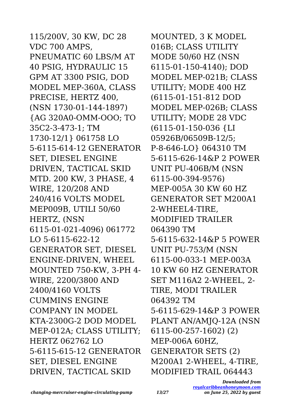115/200V, 30 KW, DC 28 VDC 700 AMPS, PNEUMATIC 60 LBS/M AT 40 PSIG, HYDRAULIC 15 GPM AT 3300 PSIG, DOD MODEL MEP-360A, CLASS PRECISE, HERTZ 400, (NSN 1730-01-144-1897) {AG 320A0-OMM-OOO; TO 35C2-3-473-1; TM 1730-12/1} 061758 LO 5-6115-614-12 GENERATOR SET, DIESEL ENGINE DRIVEN, TACTICAL SKID MTD. 200 KW, 3 PHASE, 4 WIRE, 120/208 AND 240/416 VOLTS MODEL MEP009B, UTILI 50/60 HERTZ, (NSN 6115-01-021-4096) 061772 LO 5-6115-622-12 GENERATOR SET, DIESEL ENGINE-DRIVEN, WHEEL MOUNTED 750-KW, 3-PH 4- WIRE, 2200/3800 AND 2400/4160 VOLTS CUMMINS ENGINE COMPANY IN MODEL KTA-2300G-2 DOD MODEL MEP-012A; CLASS UTILITY; HERTZ 062762 LO 5-6115-615-12 GENERATOR SET, DIESEL ENGINE DRIVEN, TACTICAL SKID

MOUNTED, 3 K MODEL 016B; CLASS UTILITY MODE 50/60 HZ (NSN 6115-01-150-4140); DOD MODEL MEP-021B; CLASS UTILITY; MODE 400 HZ (6115-01-151-812 DOD MODEL MEP-026B; CLASS UTILITY; MODE 28 VDC (6115-01-150-036 {LI 05926B/06509B-12/5; P-8-646-LO} 064310 TM 5-6115-626-14&P 2 POWER UNIT PU-406B/M (NSN 6115-00-394-9576) MEP-005A 30 KW 60 HZ GENERATOR SET M200A1 2-WHEEL4-TIRE, MODIFIED TRAILER 064390 TM 5-6115-632-14&P 5 POWER UNIT PU-753/M (NSN 6115-00-033-1 MEP-003A 10 KW 60 HZ GENERATOR SET M116A2 2-WHEEL, 2- TIRE, MODI TRAILER 064392 TM 5-6115-629-14&P 3 POWER PLANT AN/AMJQ-12A (NSN 6115-00-257-1602) (2) MEP-006A 60HZ, GENERATOR SETS (2) M200A1 2-WHEEL, 4-TIRE, MODIFIED TRAIL 064443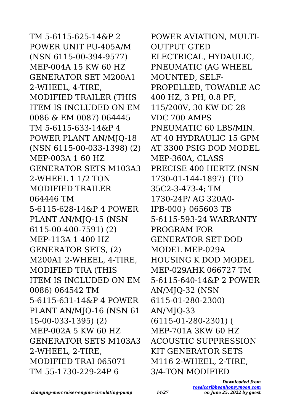TM 5-6115-625-14&P 2 POWER UNIT PU-405A/M (NSN 6115-00-394-9577) MEP-004A 15 KW 60 HZ GENERATOR SET M200A1 2-WHEEL, 4-TIRE, MODIFIED TRAILER (THIS ITEM IS INCLUDED ON EM 0086 & EM 0087) 064445 TM 5-6115-633-14&P 4 POWER PLANT AN/MJQ-18 (NSN 6115-00-033-1398) (2) MEP-003A 1 60 HZ GENERATOR SETS M103A3 2-WHEEL 1 1/2 TON MODIFIED TRAILER 064446 TM 5-6115-628-14&P 4 POWER PLANT AN/MJQ-15 (NSN 6115-00-400-7591) (2) MEP-113A 1 400 HZ GENERATOR SETS, (2) M200A1 2-WHEEL, 4-TIRE, MODIFIED TRA (THIS ITEM IS INCLUDED ON EM 0086) 064542 TM 5-6115-631-14&P 4 POWER PLANT AN/MJQ-16 (NSN 61 15-00-033-1395) (2) MEP-002A 5 KW 60 HZ GENERATOR SETS M103A3 2-WHEEL, 2-TIRE, MODIFIED TRAI 065071 TM 55-1730-229-24P 6

POWER AVIATION, MULTI-OUTPUT GTED ELECTRICAL, HYDAULIC, PNEUMATIC (AG WHEEL MOUNTED, SELF-PROPELLED, TOWABLE AC 400 HZ, 3 PH, 0.8 PF, 115/200V, 30 KW DC 28 VDC 700 AMPS PNEUMATIC 60 LBS/MIN. AT 40 HYDRAULIC 15 GPM AT 3300 PSIG DOD MODEL MEP-360A, CLASS PRECISE 400 HERTZ (NSN 1730-01-144-1897) {TO 35C2-3-473-4; TM 1730-24P/ AG 320A0- IPB-000} 065603 TB 5-6115-593-24 WARRANTY PROGRAM FOR GENERATOR SET DOD MODEL MEP-029A HOUSING K DOD MODEL MEP-029AHK 066727 TM 5-6115-640-14&P 2 POWER AN/MJQ-32 (NSN 6115-01-280-2300) AN/MJQ-33 (6115-01-280-2301) ( MEP-701A 3KW 60 HZ ACOUSTIC SUPPRESSION KIT GENERATOR SETS M116 2-WHEEL, 2-TIRE, 3/4-TON MODIFIED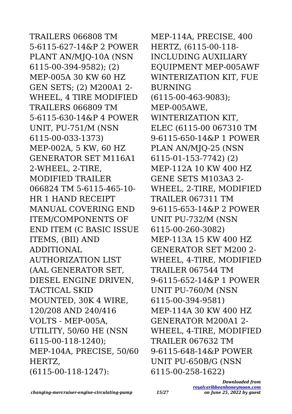TRAILERS 066808 TM 5-6115-627-14&P 2 POWER PLANT AN/MJQ-10A (NSN 6115-00-394-9582); (2) MEP-005A 30 KW 60 HZ GEN SETS; (2) M200A1 2- WHEEL, 4 TIRE MODIFIED TRAILERS 066809 TM 5-6115-630-14&P 4 POWER UNIT, PU-751/M (NSN 6115-00-033-1373) MEP-002A, 5 KW, 60 HZ GENERATOR SET M116A1 2-WHEEL, 2-TIRE, MODIFIED TRAILER 066824 TM 5-6115-465-10- HR 1 HAND RECEIPT MANUAL COVERING END ITEM/COMPONENTS OF END ITEM (C BASIC ISSUE ITEMS, (BII) AND ADDITIONAL AUTHORIZATION LIST (AAL GENERATOR SET, DIESEL ENGINE DRIVEN, TACTICAL SKID MOUNTED, 30K 4 WIRE, 120/208 AND 240/416 VOLTS - MEP-005A, UTILITY, 50/60 HE (NSN 6115-00-118-1240); MEP-104A, PRECISE, 50/60 HERTZ, (6115-00-118-1247):

MEP-114A, PRECISE, 400 HERTZ, (6115-00-118- INCLUDING AUXILIARY EQUIPMENT MEP-005AWF WINTERIZATION KIT, FUE BURNING (6115-00-463-9083); MEP-005AWE, WINTERIZATION KIT, ELEC (6115-00 067310 TM 9-6115-650-14&P 1 POWER PLAN AN/MJQ-25 (NSN 6115-01-153-7742) (2) MEP-112A 10 KW 400 HZ GENE SETS M103A3 2- WHEEL, 2-TIRE, MODIFIED TRAILER 067311 TM 9-6115-653-14&P 2 POWER UNIT PU-732/M (NSN 6115-00-260-3082) MEP-113A 15 KW 400 HZ GENERATOR SET M200 2- WHEEL, 4-TIRE, MODIFIED TRAILER 067544 TM 9-6115-652-14&P 1 POWER UNIT PU-760/M (NSN 6115-00-394-9581) MEP-114A 30 KW 400 HZ GENERATOR M200A1 2- WHEEL, 4-TIRE, MODIFIED TRAILER 067632 TM 9-6115-648-14&P POWER UNIT PU-650B/G (NSN 6115-00-258-1622)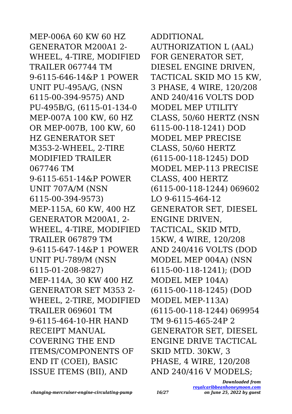MEP-006A 60 KW 60 HZ GENERATOR M200A1 2- WHEEL, 4-TIRE, MODIFIED TRAILER 067744 TM 9-6115-646-14&P 1 POWER UNIT PU-495A/G, (NSN 6115-00-394-9575) AND PU-495B/G, (6115-01-134-0 MEP-007A 100 KW, 60 HZ OR MEP-007B, 100 KW, 60 HZ GENERATOR SET M353-2-WHEEL, 2-TIRE MODIFIED TRAILER 067746 TM 9-6115-651-14&P POWER UNIT 707A/M (NSN 6115-00-394-9573) MEP-115A, 60 KW, 400 HZ GENERATOR M200A1, 2- WHEEL, 4-TIRE, MODIFIED TRAILER 067879 TM 9-6115-647-14&P 1 POWER UNIT PU-789/M (NSN 6115-01-208-9827) MEP-114A, 30 KW 400 HZ GENERATOR SET M353 2- WHEEL, 2-TIRE, MODIFIED TRAILER 069601 TM 9-6115-464-10-HR HAND RECEIPT MANUAL COVERING THE END ITEMS/COMPONENTS OF END IT (COEI), BASIC ISSUE ITEMS (BII), AND

AUTHORIZATION L (AAL) FOR GENERATOR SET, DIESEL ENGINE DRIVEN, TACTICAL SKID MO 15 KW, 3 PHASE, 4 WIRE, 120/208 AND 240/416 VOLTS DOD MODEL MEP UTILITY CLASS, 50/60 HERTZ (NSN 6115-00-118-1241) DOD MODEL MEP PRECISE CLASS, 50/60 HERTZ (6115-00-118-1245) DOD MODEL MEP-113 PRECISE CLASS, 400 HERTZ (6115-00-118-1244) 069602 LO 9-6115-464-12 GENERATOR SET, DIESEL ENGINE DRIVEN, TACTICAL, SKID MTD, 15KW, 4 WIRE, 120/208 AND 240/416 VOLTS (DOD MODEL MEP 004A) (NSN 6115-00-118-1241); (DOD MODEL MEP 104A) (6115-00-118-1245) (DOD MODEL MEP-113A) (6115-00-118-1244) 069954 TM 9-6115-465-24P 2 GENERATOR SET, DIESEL ENGINE DRIVE TACTICAL SKID MTD. 30KW, 3 PHASE, 4 WIRE, 120/208

ADDITIONAL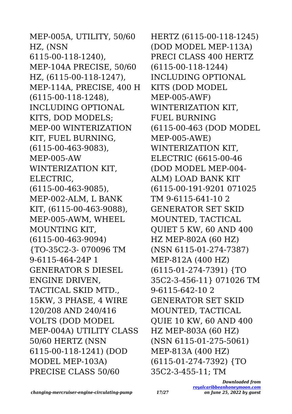MEP-005A, UTILITY, 50/60 HZ, (NSN 6115-00-118-1240), MEP-104A PRECISE, 50/60 HZ, (6115-00-118-1247), MEP-114A, PRECISE, 400 H (6115-00-118-1248), INCLUDING OPTIONAL KITS, DOD MODELS; MEP-00 WINTERIZATION KIT, FUEL BURNING, (6115-00-463-9083), MEP-005-AW WINTERIZATION KIT, ELECTRIC, (6115-00-463-9085), MEP-002-ALM, L BANK KIT, (6115-00-463-9088), MEP-005-AWM, WHEEL MOUNTING KIT, (6115-00-463-9094) {TO-35C2-3- 070096 TM 9-6115-464-24P 1 GENERATOR S DIESEL ENGINE DRIVEN, TACTICAL SKID MTD., 15KW, 3 PHASE, 4 WIRE 120/208 AND 240/416 VOLTS (DOD MODEL MEP-004A) UTILITY CLASS 50/60 HERTZ (NSN 6115-00-118-1241) (DOD MODEL MEP-103A) PRECISE CLASS 50/60

HERTZ (6115-00-118-1245) (DOD MODEL MEP-113A) PRECI CLASS 400 HERTZ (6115-00-118-1244) INCLUDING OPTIONAL KITS (DOD MODEL MEP-005-AWF) WINTERIZATION KIT, FUEL BURNING (6115-00-463 (DOD MODEL MEP-005-AWE) WINTERIZATION KIT, ELECTRIC (6615-00-46 (DOD MODEL MEP-004- ALM) LOAD BANK KIT (6115-00-191-9201 071025 TM 9-6115-641-10 2 GENERATOR SET SKID MOUNTED, TACTICAL QUIET 5 KW, 60 AND 400 HZ MEP-802A (60 HZ) (NSN 6115-01-274-7387) MEP-812A (400 HZ) (6115-01-274-7391) {TO 35C2-3-456-11} 071026 TM 9-6115-642-10 2 GENERATOR SET SKID MOUNTED, TACTICAL QUIE 10 KW, 60 AND 400 HZ MEP-803A (60 HZ) (NSN 6115-01-275-5061) MEP-813A (400 HZ) (6115-01-274-7392) {TO 35C2-3-455-11; TM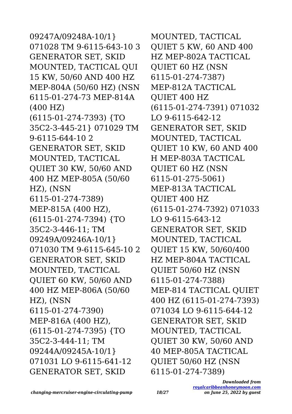09247A/09248A-10/1} 071028 TM 9-6115-643-10 3 GENERATOR SET, SKID MOUNTED, TACTICAL QUI 15 KW, 50/60 AND 400 HZ MEP-804A (50/60 HZ) (NSN 6115-01-274-73 MEP-814A (400 HZ) (6115-01-274-7393) {TO 35C2-3-445-21} 071029 TM 9-6115-644-10 2 GENERATOR SET, SKID MOUNTED, TACTICAL QUIET 30 KW, 50/60 AND 400 HZ MEP-805A (50/60 HZ), (NSN 6115-01-274-7389) MEP-815A (400 HZ), (6115-01-274-7394) {TO 35C2-3-446-11; TM 09249A/09246A-10/1} 071030 TM 9-6115-645-10 2 GENERATOR SET, SKID MOUNTED, TACTICAL QUIET 60 KW, 50/60 AND 400 HZ MEP-806A (50/60 HZ), (NSN 6115-01-274-7390) MEP-816A (400 HZ), (6115-01-274-7395) {TO 35C2-3-444-11; TM 09244A/09245A-10/1} 071031 LO 9-6115-641-12 GENERATOR SET, SKID

MOUNTED, TACTICAL QUIET 5 KW, 60 AND 400 HZ MEP-802A TACTICAL QUIET 60 HZ (NSN 6115-01-274-7387) MEP-812A TACTICAL QUIET 400 HZ (6115-01-274-7391) 071032 LO 9-6115-642-12 GENERATOR SET, SKID MOUNTED, TACTICAL QUIET 10 KW, 60 AND 400 H MEP-803A TACTICAL QUIET 60 HZ (NSN 6115-01-275-5061) MEP-813A TACTICAL QUIET 400 HZ (6115-01-274-7392) 071033 LO 9-6115-643-12 GENERATOR SET, SKID MOUNTED, TACTICAL QUIET 15 KW, 50/60/400 HZ MEP-804A TACTICAL QUIET 50/60 HZ (NSN 6115-01-274-7388) MEP-814 TACTICAL QUIET 400 HZ (6115-01-274-7393) 071034 LO 9-6115-644-12 GENERATOR SET, SKID MOUNTED, TACTICAL QUIET 30 KW, 50/60 AND 40 MEP-805A TACTICAL QUIET 50/60 HZ (NSN 6115-01-274-7389)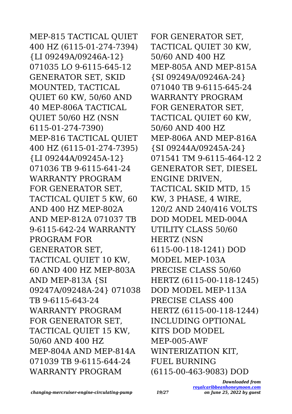MEP-815 TACTICAL QUIET 400 HZ (6115-01-274-7394) {LI 09249A/09246A-12} 071035 LO 9-6115-645-12 GENERATOR SET, SKID MOUNTED, TACTICAL QUIET 60 KW, 50/60 AND 40 MEP-806A TACTICAL QUIET 50/60 HZ (NSN 6115-01-274-7390) MEP-816 TACTICAL QUIET 400 HZ (6115-01-274-7395) {LI 09244A/09245A-12} 071036 TB 9-6115-641-24 WARRANTY PROGRAM FOR GENERATOR SET, TACTICAL QUIET 5 KW, 60 AND 400 HZ MEP-802A AND MEP-812A 071037 TB 9-6115-642-24 WARRANTY PROGRAM FOR GENERATOR SET, TACTICAL QUIET 10 KW, 60 AND 400 HZ MEP-803A AND MEP-813A {SI 09247A/09248A-24} 071038 TB 9-6115-643-24 WARRANTY PROGRAM FOR GENERATOR SET, TACTICAL QUIET 15 KW, 50/60 AND 400 HZ MEP-804A AND MEP-814A 071039 TB 9-6115-644-24 WARRANTY PROGRAM

FOR GENERATOR SET, TACTICAL QUIET 30 KW, 50/60 AND 400 HZ MEP-805A AND MEP-815A {SI 09249A/09246A-24} 071040 TB 9-6115-645-24 WARRANTY PROGRAM FOR GENERATOR SET, TACTICAL QUIET 60 KW, 50/60 AND 400 HZ MEP-806A AND MEP-816A {SI 09244A/09245A-24} 071541 TM 9-6115-464-12 2 GENERATOR SET, DIESEL ENGINE DRIVEN, TACTICAL SKID MTD, 15 KW, 3 PHASE, 4 WIRE, 120/2 AND 240/416 VOLTS DOD MODEL MED-004A UTILITY CLASS 50/60 HERTZ (NSN 6115-00-118-1241) DOD MODEL MEP-103A PRECISE CLASS 50/60 HERTZ (6115-00-118-1245) DOD MODEL MEP-113A PRECISE CLASS 400 HERTZ (6115-00-118-1244) INCLUDING OPTIONAL KITS DOD MODEL MEP-005-AWF WINTERIZATION KIT, FUEL BURNING (6115-00-463-9083) DOD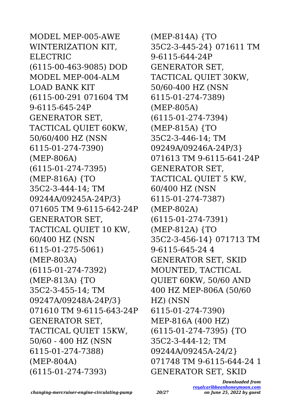MODEL MEP-005-AWE WINTERIZATION KIT, ELECTRIC (6115-00-463-9085) DOD MODEL MEP-004-ALM LOAD BANK KIT (6115-00-291 071604 TM 9-6115-645-24P GENERATOR SET, TACTICAL QUIET 60KW, 50/60/400 HZ (NSN 6115-01-274-7390) (MEP-806A) (6115-01-274-7395) (MEP-816A) {TO 35C2-3-444-14; TM 09244A/09245A-24P/3} 071605 TM 9-6115-642-24P GENERATOR SET, TACTICAL QUIET 10 KW, 60/400 HZ (NSN 6115-01-275-5061) (MEP-803A) (6115-01-274-7392) (MEP-813A) {TO 35C2-3-455-14; TM 09247A/09248A-24P/3} 071610 TM 9-6115-643-24P GENERATOR SET, TACTICAL QUIET 15KW, 50/60 - 400 HZ (NSN 6115-01-274-7388) (MEP-804A) (6115-01-274-7393)

(MEP-814A) {TO 35C2-3-445-24} 071611 TM 9-6115-644-24P GENERATOR SET, TACTICAL QUIET 30KW, 50/60-400 HZ (NSN 6115-01-274-7389) (MEP-805A) (6115-01-274-7394) (MEP-815A) {TO 35C2-3-446-14; TM 09249A/09246A-24P/3} 071613 TM 9-6115-641-24P GENERATOR SET, TACTICAL QUIET 5 KW, 60/400 HZ (NSN 6115-01-274-7387) (MEP-802A) (6115-01-274-7391) (MEP-812A) {TO 35C2-3-456-14} 071713 TM 9-6115-645-24 4 GENERATOR SET, SKID MOUNTED, TACTICAL QUIET 60KW, 50/60 AND 400 HZ MEP-806A (50/60 HZ) (NSN 6115-01-274-7390) MEP-816A (400 HZ) (6115-01-274-7395) {TO 35C2-3-444-12; TM 09244A/09245A-24/2} 071748 TM 9-6115-644-24 1 GENERATOR SET, SKID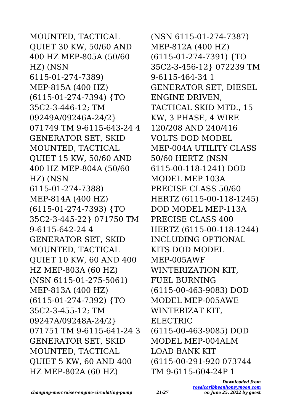MOUNTED, TACTICAL QUIET 30 KW, 50/60 AND 400 HZ MEP-805A (50/60 HZ) (NSN 6115-01-274-7389) MEP-815A (400 HZ) (6115-01-274-7394) {TO 35C2-3-446-12; TM 09249A/09246A-24/2} 071749 TM 9-6115-643-24 4 GENERATOR SET, SKID MOUNTED, TACTICAL QUIET 15 KW, 50/60 AND 400 HZ MEP-804A (50/60 HZ) (NSN 6115-01-274-7388) MEP-814A (400 HZ) (6115-01-274-7393) {TO 35C2-3-445-22} 071750 TM 9-6115-642-24 4 GENERATOR SET, SKID MOUNTED, TACTICAL QUIET 10 KW, 60 AND 400 HZ MEP-803A (60 HZ) (NSN 6115-01-275-5061) MEP-813A (400 HZ) (6115-01-274-7392) {TO 35C2-3-455-12; TM 09247A/09248A-24/2} 071751 TM 9-6115-641-24 3 GENERATOR SET, SKID MOUNTED, TACTICAL QUIET 5 KW, 60 AND 400 HZ MEP-802A (60 HZ)

(NSN 6115-01-274-7387) MEP-812A (400 HZ) (6115-01-274-7391) {TO 35C2-3-456-12} 072239 TM 9-6115-464-34 1 GENERATOR SET, DIESEL ENGINE DRIVEN, TACTICAL SKID MTD., 15 KW, 3 PHASE, 4 WIRE 120/208 AND 240/416 VOLTS DOD MODEL MEP-004A UTILITY CLASS 50/60 HERTZ (NSN 6115-00-118-1241) DOD MODEL MEP 103A PRECISE CLASS 50/60 HERTZ (6115-00-118-1245) DOD MODEL MEP-113A PRECISE CLASS 400 HERTZ (6115-00-118-1244) INCLUDING OPTIONAL KITS DOD MODEL MEP-005AWF WINTERIZATION KIT, FUEL BURNING (6115-00-463-9083) DOD MODEL MEP-005AWE WINTERIZAT KIT, ELECTRIC (6115-00-463-9085) DOD MODEL MEP-004ALM LOAD BANK KIT (6115-00-291-920 073744 TM 9-6115-604-24P 1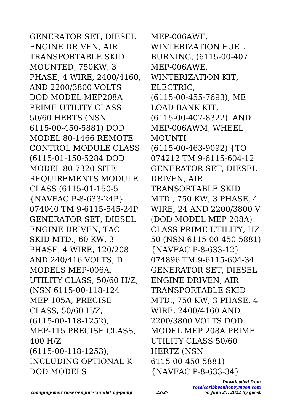GENERATOR SET, DIESEL ENGINE DRIVEN, AIR TRANSPORTABLE SKID MOUNTED, 750KW, 3 PHASE, 4 WIRE, 2400/4160, AND 2200/3800 VOLTS DOD MODEL MEP208A PRIME UTILITY CLASS 50/60 HERTS (NSN 6115-00-450-5881) DOD MODEL 80-1466 REMOTE CONTROL MODULE CLASS (6115-01-150-5284 DOD MODEL 80-7320 SITE REQUIREMENTS MODULE CLASS (6115-01-150-5 {NAVFAC P-8-633-24P} 074040 TM 9-6115-545-24P GENERATOR SET, DIESEL ENGINE DRIVEN, TAC SKID MTD., 60 KW, 3 PHASE, 4 WIRE, 120/208 AND 240/416 VOLTS, D MODELS MEP-006A, UTILITY CLASS, 50/60 H/Z, (NSN 6115-00-118-124 MEP-105A, PRECISE CLASS, 50/60 H/Z, (6115-00-118-1252), MEP-115 PRECISE CLASS, 400 H/Z (6115-00-118-1253); INCLUDING OPTIONAL K DOD MODELS

MEP-006AWF, WINTERIZATION FUEL BURNING, (6115-00-407 MEP-006AWE, WINTERIZATION KIT, ELECTRIC, (6115-00-455-7693), ME LOAD BANK KIT, (6115-00-407-8322), AND MEP-006AWM, WHEEL MOUNTI (6115-00-463-9092) {TO 074212 TM 9-6115-604-12 GENERATOR SET, DIESEL DRIVEN, AIR TRANSORTABLE SKID MTD., 750 KW, 3 PHASE, 4 WIRE, 24 AND 2200/3800 V (DOD MODEL MEP 208A) CLASS PRIME UTILITY, HZ 50 (NSN 6115-00-450-5881) {NAVFAC P-8-633-12} 074896 TM 9-6115-604-34 GENERATOR SET, DIESEL ENGINE DRIVEN, AIR TRANSPORTABLE SKID MTD., 750 KW, 3 PHASE, 4 WIRE, 2400/4160 AND 2200/3800 VOLTS DOD MODEL MEP 208A PRIME UTILITY CLASS 50/60 HERTZ (NSN 6115-00-450-5881) {NAVFAC P-8-633-34}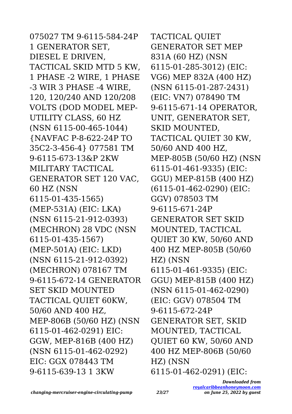075027 TM 9-6115-584-24P 1 GENERATOR SET, DIESEL E DRIVEN, TACTICAL SKID MTD 5 KW, 1 PHASE -2 WIRE, 1 PHASE -3 WIR 3 PHASE -4 WIRE, 120, 120/240 AND 120/208 VOLTS (DOD MODEL MEP-UTILITY CLASS, 60 HZ (NSN 6115-00-465-1044) {NAVFAC P-8-622-24P TO 35C2-3-456-4} 077581 TM 9-6115-673-13&P 2KW MILITARY TACTICAL GENERATOR SET 120 VAC, 60 HZ (NSN 6115-01-435-1565) (MEP-531A) (EIC: LKA) (NSN 6115-21-912-0393) (MECHRON) 28 VDC (NSN 6115-01-435-1567) (MEP-501A) (EIC: LKD) (NSN 6115-21-912-0392) (MECHRON) 078167 TM 9-6115-672-14 GENERATOR SET SKID MOUNTED TACTICAL QUIET 60KW, 50/60 AND 400 HZ, MEP-806B (50/60 HZ) (NSN 6115-01-462-0291) EIC: GGW, MEP-816B (400 HZ) (NSN 6115-01-462-0292) EIC: GGX 078443 TM 9-6115-639-13 1 3KW

TACTICAL QUIET GENERATOR SET MEP 831A (60 HZ) (NSN 6115-01-285-3012) (EIC: VG6) MEP 832A (400 HZ) (NSN 6115-01-287-2431) (EIC: VN7) 078490 TM 9-6115-671-14 OPERATOR, UNIT, GENERATOR SET, SKID MOUNTED, TACTICAL QUIET 30 KW, 50/60 AND 400 HZ, MEP-805B (50/60 HZ) (NSN 6115-01-461-9335) (EIC: GGU) MEP-815B (400 HZ) (6115-01-462-0290) (EIC: GGV) 078503 TM 9-6115-671-24P GENERATOR SET SKID MOUNTED, TACTICAL QUIET 30 KW, 50/60 AND 400 HZ MEP-805B (50/60 HZ) (NSN 6115-01-461-9335) (EIC: GGU) MEP-815B (400 HZ) (NSN 6115-01-462-0290) (EIC: GGV) 078504 TM 9-6115-672-24P GENERATOR SET, SKID MOUNTED, TACTICAL QUIET 60 KW, 50/60 AND 400 HZ MEP-806B (50/60 HZ) (NSN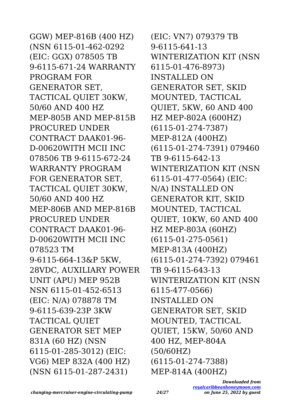GGW) MEP-816B (400 HZ) (NSN 6115-01-462-0292 (EIC: GGX) 078505 TB 9-6115-671-24 WARRANTY PROGRAM FOR GENERATOR SET, TACTICAL QUIET 30KW, 50/60 AND 400 HZ MEP-805B AND MEP-815B PROCURED UNDER CONTRACT DAAK01-96- D-00620WITH MCII INC 078506 TB 9-6115-672-24 WARRANTY PROGRAM FOR GENERATOR SET, TACTICAL QUIET 30KW, 50/60 AND 400 HZ MEP-806B AND MEP-816B PROCURED UNDER CONTRACT DAAK01-96- D-00620WITH MCII INC 078523 TM 9-6115-664-13&P 5KW, 28VDC, AUXILIARY POWER UNIT (APU) MEP 952B NSN 6115-01-452-6513 (EIC: N/A) 078878 TM 9-6115-639-23P 3KW TACTICAL QUIET GENERATOR SET MEP 831A (60 HZ) (NSN 6115-01-285-3012) (EIC: VG6) MEP 832A (400 HZ) (NSN 6115-01-287-2431)

(EIC: VN7) 079379 TB 9-6115-641-13 WINTERIZATION KIT (NSN 6115-01-476-8973) INSTALLED ON GENERATOR SET, SKID MOUNTED, TACTICAL QUIET, 5KW, 60 AND 400 HZ MEP-802A (600HZ) (6115-01-274-7387) MEP-812A (400HZ) (6115-01-274-7391) 079460 TB 9-6115-642-13 WINTERIZATION KIT (NSN 6115-01-477-0564) (EIC: N/A) INSTALLED ON GENERATOR KIT, SKID MOUNTED, TACTICAL QUIET, 10KW, 60 AND 400 HZ MEP-803A (60HZ) (6115-01-275-0561) MEP-813A (400HZ) (6115-01-274-7392) 079461 TB 9-6115-643-13 WINTERIZATION KIT (NSN 6115-477-0566) INSTALLED ON GENERATOR SET, SKID MOUNTED, TACTICAL QUIET, 15KW, 50/60 AND 400 HZ, MEP-804A (50/60HZ) (6115-01-274-7388) MEP-814A (400HZ)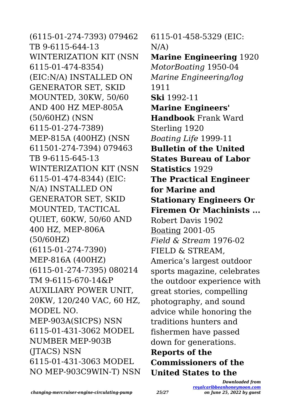(6115-01-274-7393) 079462 TB 9-6115-644-13 WINTERIZATION KIT (NSN 6115-01-474-8354) (EIC:N/A) INSTALLED ON GENERATOR SET, SKID MOUNTED, 30KW, 50/60 AND 400 HZ MEP-805A (50/60HZ) (NSN 6115-01-274-7389) MEP-815A (400HZ) (NSN 611501-274-7394) 079463 TB 9-6115-645-13 WINTERIZATION KIT (NSN 6115-01-474-8344) (EIC: N/A) INSTALLED ON GENERATOR SET, SKID MOUNTED, TACTICAL QUIET, 60KW, 50/60 AND 400 HZ, MEP-806A (50/60HZ) (6115-01-274-7390) MEP-816A (400HZ) (6115-01-274-7395) 080214 TM 9-6115-670-14&P AUXILIARY POWER UNIT, 20KW, 120/240 VAC, 60 HZ, MODEL NO. MEP-903A(SICPS) NSN 6115-01-431-3062 MODEL NUMBER MEP-903B (JTACS) NSN 6115-01-431-3063 MODEL NO MEP-903C9WIN-T) NSN 6115-01-458-5329 (EIC:  $N/A$ ) **Marine Engineering** 1920 *MotorBoating* 1950-04 *Marine Engineering/log* 1911 **Ski** 1992-11 **Marine Engineers' Handbook** Frank Ward Sterling 1920 *Boating Life* 1999-11 **Bulletin of the United States Bureau of Labor Statistics** 1929 **The Practical Engineer for Marine and Stationary Engineers Or Firemen Or Machinists ...** Robert Davis 1902 Boating 2001-05 *Field & Stream* 1976-02 FIELD & STREAM, America's largest outdoor sports magazine, celebrates the outdoor experience with great stories, compelling photography, and sound advice while honoring the traditions hunters and fishermen have passed down for generations. **Reports of the Commissioners of the United States to the**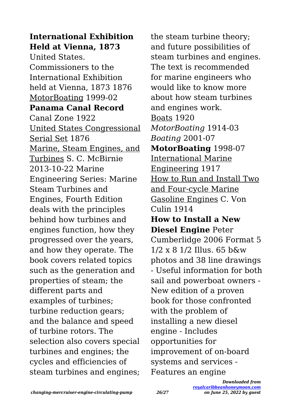**International Exhibition Held at Vienna, 1873** United States. Commissioners to the International Exhibition held at Vienna, 1873 1876 MotorBoating 1999-02 **Panama Canal Record** Canal Zone 1922 United States Congressional Serial Set 1876 Marine, Steam Engines, and Turbines S. C. McBirnie 2013-10-22 Marine Engineering Series: Marine Steam Turbines and Engines, Fourth Edition deals with the principles behind how turbines and engines function, how they progressed over the years, and how they operate. The book covers related topics such as the generation and properties of steam; the different parts and examples of turbines; turbine reduction gears; and the balance and speed of turbine rotors. The selection also covers special turbines and engines; the cycles and efficiencies of steam turbines and engines;

the steam turbine theory; and future possibilities of steam turbines and engines. The text is recommended for marine engineers who would like to know more about how steam turbines and engines work. Boats 1920 *MotorBoating* 1914-03 *Boating* 2001-07 **MotorBoating** 1998-07 International Marine Engineering 1917 How to Run and Install Two and Four-cycle Marine Gasoline Engines C. Von  $C$ ulin 1914 **How to Install a New Diesel Engine** Peter Cumberlidge 2006 Format 5 1/2 x 8 1/2 Illus. 65 b&w photos and 38 line drawings - Useful information for both sail and powerboat owners - New edition of a proven book for those confronted with the problem of installing a new diesel engine - Includes opportunities for improvement of on-board systems and services - Features an engine